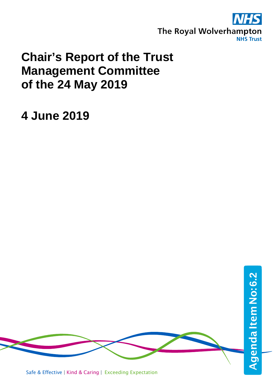

## **Chair's Report of the Trust Management Committee of the 24 May 2019**

## **4 June 2019**

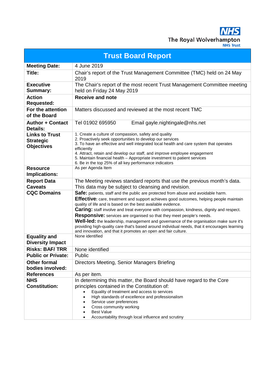**NHS** The Royal Wolverhampton

| <b>Trust Board Report</b>                                      |                                                                                                                                                                                                                                                                                                                                                                                                                                                                                                                                                                                                                                                                                     |  |
|----------------------------------------------------------------|-------------------------------------------------------------------------------------------------------------------------------------------------------------------------------------------------------------------------------------------------------------------------------------------------------------------------------------------------------------------------------------------------------------------------------------------------------------------------------------------------------------------------------------------------------------------------------------------------------------------------------------------------------------------------------------|--|
| <b>Meeting Date:</b>                                           | 4 June 2019                                                                                                                                                                                                                                                                                                                                                                                                                                                                                                                                                                                                                                                                         |  |
| Title:                                                         | Chair's report of the Trust Management Committee (TMC) held on 24 May<br>2019                                                                                                                                                                                                                                                                                                                                                                                                                                                                                                                                                                                                       |  |
| <b>Executive</b><br>Summary:                                   | The Chair's report of the most recent Trust Management Committee meeting<br>held on Friday 24 May 2019                                                                                                                                                                                                                                                                                                                                                                                                                                                                                                                                                                              |  |
| <b>Action</b><br><b>Requested:</b>                             | <b>Receive and note</b>                                                                                                                                                                                                                                                                                                                                                                                                                                                                                                                                                                                                                                                             |  |
| For the attention<br>of the Board                              | Matters discussed and reviewed at the most recent TMC                                                                                                                                                                                                                                                                                                                                                                                                                                                                                                                                                                                                                               |  |
| <b>Author + Contact</b><br><b>Details:</b>                     | Tel 01902 695950<br>Email gayle.nightingale@nhs.net                                                                                                                                                                                                                                                                                                                                                                                                                                                                                                                                                                                                                                 |  |
| <b>Links to Trust</b><br><b>Strategic</b><br><b>Objectives</b> | 1. Create a culture of compassion, safety and quality<br>2. Proactively seek opportunities to develop our services<br>3. To have an effective and well integrated local health and care system that operates<br>efficiently<br>4. Attract, retain and develop our staff, and improve employee engagement<br>5. Maintain financial health - Appropriate investment to patient services<br>6. Be in the top 25% of all key performance indicators                                                                                                                                                                                                                                     |  |
| <b>Resource</b><br>Implications:                               | As per Agenda Item                                                                                                                                                                                                                                                                                                                                                                                                                                                                                                                                                                                                                                                                  |  |
| <b>Report Data</b><br><b>Caveats</b>                           | The Meeting reviews standard reports that use the previous month's data.<br>This data may be subject to cleansing and revision.                                                                                                                                                                                                                                                                                                                                                                                                                                                                                                                                                     |  |
| <b>CQC Domains</b>                                             | Safe: patients, staff and the public are protected from abuse and avoidable harm.<br>Effective: care, treatment and support achieves good outcomes, helping people maintain<br>quality of life and is based on the best available evidence.<br><b>Caring:</b> staff involve and treat everyone with compassion, kindness, dignity and respect.<br>Responsive: services are organised so that they meet people's needs.<br>Well-led: the leadership, management and governance of the organisation make sure it's<br>providing high-quality care that's based around individual needs, that it encourages learning<br>and innovation, and that it promotes an open and fair culture. |  |
| <b>Equality and</b><br><b>Diversity Impact</b>                 | None identified                                                                                                                                                                                                                                                                                                                                                                                                                                                                                                                                                                                                                                                                     |  |
| <b>Risks: BAF/TRR</b>                                          | None identified                                                                                                                                                                                                                                                                                                                                                                                                                                                                                                                                                                                                                                                                     |  |
| <b>Public or Private:</b>                                      | Public                                                                                                                                                                                                                                                                                                                                                                                                                                                                                                                                                                                                                                                                              |  |
| <b>Other formal</b><br>bodies involved:                        | Directors Meeting, Senior Managers Briefing                                                                                                                                                                                                                                                                                                                                                                                                                                                                                                                                                                                                                                         |  |
| <b>References</b>                                              | As per item.                                                                                                                                                                                                                                                                                                                                                                                                                                                                                                                                                                                                                                                                        |  |
| <b>NHS</b><br><b>Constitution:</b>                             | In determining this matter, the Board should have regard to the Core<br>principles contained in the Constitution of:<br>Equality of treatment and access to services<br>$\bullet$<br>High standards of excellence and professionalism<br>Service user preferences<br>Cross community working<br><b>Best Value</b><br>Accountability through local influence and scrutiny                                                                                                                                                                                                                                                                                                            |  |